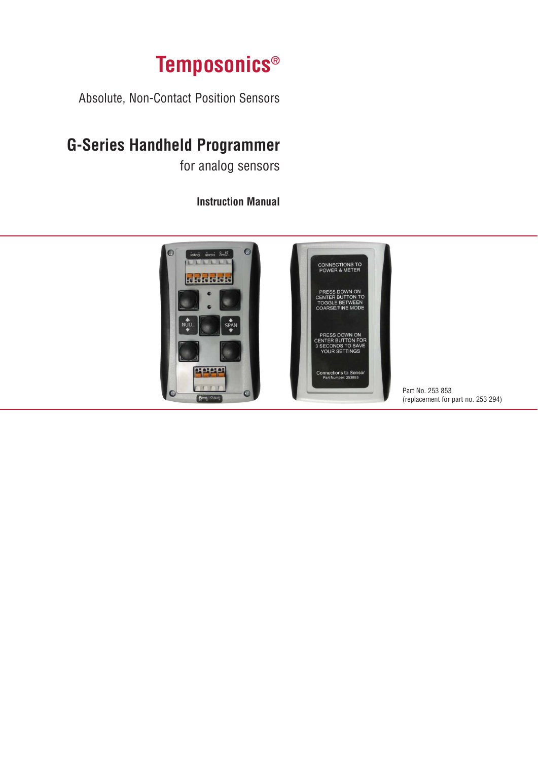# **Temposonics®**

Absolute, Non-Contact Position Sensors

## **G-Series Handheld Programmer**

for analog sensors

### **Instruction Manual**



Part No. 253 853 (replacement for part no. 253 294)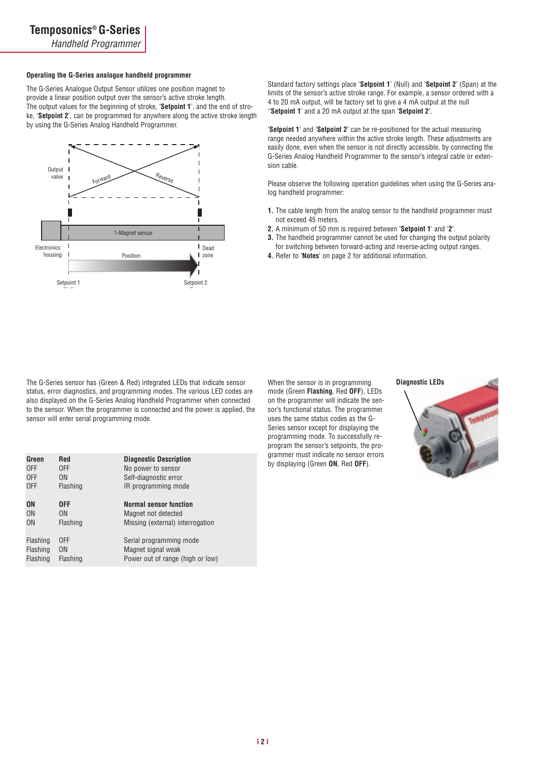*Handheld Programmer*

#### **Operating the G-Series analogue handheld programmer**

The G-Series Analogue Output Sensor utilizes one position magnet to provide a linear position output over the sensor's active stroke length. The output values for the beginning of stroke, '**Setpoint 1**', and the end of stroke, '**Setpoint 2**', can be programmed for anywhere along the active stroke length by using the G-Series Analog Handheld Programmer.



Standard factory settings place '**Setpoint 1**' (Null) and '**Setpoint 2**' (Span) at the limits of the sensor's active stroke range. For example, a sensor ordered with a 4 to 20 mA output, will be factory set to give a 4 mA output at the null ''**Setpoint 1**' and a 20 mA output at the span '**Setpoint 2**'.

'**Setpoint 1**' and '**Setpoint 2**' can be re-positioned for the actual measuring range needed anywhere within the active stroke length. These adjustments are easily done, even when the sensor is not directly accessible, by connecting the G-Series Analog Handheld Programmer to the sensor's integral cable or extension cable.

Please observe the following operation guidelines when using the G-Series analog handheld programmer:

- **1.** The cable length from the analog sensor to the handheld programmer must not exceed 45 meters.
- **2.** A minimum of 50 mm is required between '**Setpoint 1**' and '**2**'.
- **3.** The handheld programmer cannot be used for changing the output polarity for switching between forward-acting and reverse-acting output ranges.
- **4.** Refer to '**Notes**' on page 2 for additional information.

The G-Series sensor has (Green & Red) integrated LEDs that indicate sensor status, error diagnostics, and programming modes. The various LED codes are also displayed on the G-Series Analog Handheld Programmer when connected to the sensor. When the programmer is connected and the power is applied, the sensor will enter serial programming mode.

| Green           | <b>Red</b>     | <b>Diagnostic Description</b>    |
|-----------------|----------------|----------------------------------|
| 0FF             | 0FF            | No power to sensor               |
| 0FF             | 0 <sub>N</sub> | Self-diagnostic error            |
| 0FF             | Flashing       | IR programming mode              |
|                 |                |                                  |
| <b>ON</b>       | 0FF            | <b>Normal sensor function</b>    |
| 0 <sub>N</sub>  | 0 <sub>N</sub> | Magnet not detected              |
| 0 <sub>N</sub>  | Flashing       | Missing (external) interrogation |
|                 |                |                                  |
| <b>Flashing</b> | 0FF            | Serial programming mode          |
| <b>Flashing</b> | 0N             | Magnet signal weak               |
| <b>Flashing</b> | Flashing       | Power out of range (high or low) |
|                 |                |                                  |

When the sensor is in programming mode (Green **Flashing**, Red **OFF**), LEDs on the programmer will indicate the sensor's functional status. The programmer uses the same status codes as the G-Series sensor except for displaying the programming mode. To successfully reprogram the sensor's setpoints, the programmer must indicate no sensor errors by displaying (Green **ON**, Red **OFF**).



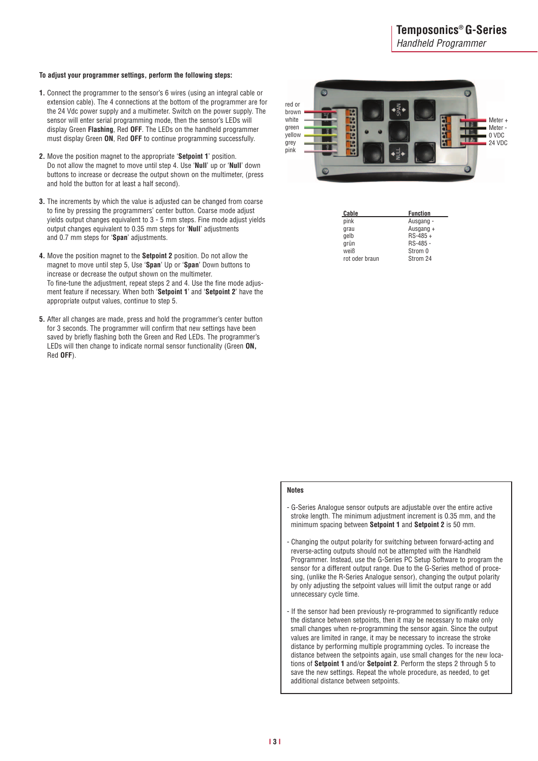*Handheld Programmer*

#### **To adjust your programmer settings, perform the following steps:**

- **1.** Connect the programmer to the sensor's 6 wires (using an integral cable or extension cable). The 4 connections at the bottom of the programmer are for the 24 Vdc power supply and a multimeter. Switch on the power supply. The sensor will enter serial programming mode, then the sensor's LEDs will display Green **Flashing**, Red **OFF**. The LEDs on the handheld programmer must display Green **ON**, Red **OFF** to continue programming successfully.
- **2.** Move the position magnet to the appropriate '**Setpoint 1**' position. Do not allow the magnet to move until step 4. Use '**Null**' up or '**Null**' down buttons to increase or decrease the output shown on the multimeter, (press and hold the button for at least a half second).
- **3.** The increments by which the value is adjusted can be changed from coarse to fine by pressing the programmers' center button. Coarse mode adjust yields output changes equivalent to 3 - 5 mm steps. Fine mode adjust yields output changes equivalent to 0.35 mm steps for '**Null**' adjustments and 0.7 mm steps for '**Span**' adjustments.
- **4.** Move the position magnet to the **Setpoint 2** position. Do not allow the magnet to move until step 5, Use '**Span**' Up or '**Span**' Down buttons to increase or decrease the output shown on the multimeter. To fine-tune the adjustment, repeat steps 2 and 4. Use the fine mode adjusment feature if necessary. When both '**Setpoint 1**' and '**Setpoint 2**' have the appropriate output values, continue to step 5.
- **5.** After all changes are made, press and hold the programmer's center button for 3 seconds. The programmer will confirm that new settings have been saved by briefly flashing both the Green and Red LEDs. The programmer's LEDs will then change to indicate normal sensor functionality (Green **ON,** Red **OFF**).



| Cable          | <b>Function</b> |
|----------------|-----------------|
| pink           | Ausgang -       |
| grau           | Ausgang +       |
| gelb           | $RS-485 +$      |
| grün           | RS-485 -        |
| weiß           | Strom 0         |
| rot oder braun | Strom 24        |

#### **Notes**

- G-Series Analogue sensor outputs are adjustable over the entire active stroke length. The minimum adjustment increment is 0.35 mm, and the minimum spacing between **Setpoint 1** and **Setpoint 2** is 50 mm.
- Changing the output polarity for switching between forward-acting and reverse-acting outputs should not be attempted with the Handheld Programmer. Instead, use the G-Series PC Setup Software to program the sensor for a different output range. Due to the G-Series method of procesing, (unlike the R-Series Analogue sensor), changing the output polarity by only adjusting the setpoint values will limit the output range or add unnecessary cycle time.
- If the sensor had been previously re-programmed to significantly reduce the distance between setpoints, then it may be necessary to make only small changes when re-programming the sensor again. Since the output values are limited in range, it may be necessary to increase the stroke distance by performing multiple programming cycles. To increase the distance between the setpoints again, use small changes for the new locations of **Setpoint 1** and/or **Setpoint 2**. Perform the steps 2 through 5 to save the new settings. Repeat the whole procedure, as needed, to get additional distance between setpoints.